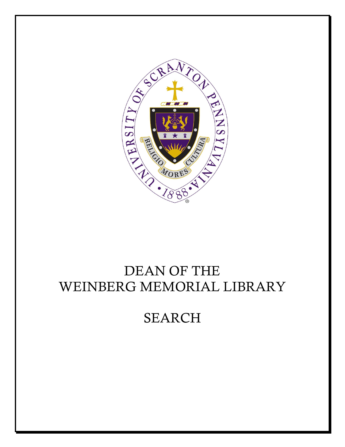

# DEAN OF THE WEINBERG MEMORIAL LIBRARY

# SEARCH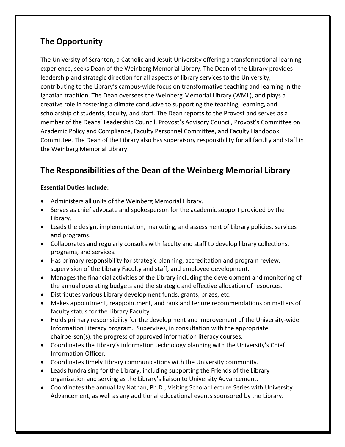## **The Opportunity**

The University of Scranton, a Catholic and Jesuit University offering a transformational learning experience, seeks Dean of the Weinberg Memorial Library. The Dean of the Library provides leadership and strategic direction for all aspects of library services to the University, contributing to the Library's campus-wide focus on transformative teaching and learning in the Ignatian tradition. The Dean oversees the Weinberg Memorial Library (WML), and plays a creative role in fostering a climate conducive to supporting the teaching, learning, and scholarship of students, faculty, and staff. The Dean reports to the Provost and serves as a member of the Deans' Leadership Council, Provost's Advisory Council, Provost's Committee on Academic Policy and Compliance, Faculty Personnel Committee, and Faculty Handbook Committee. The Dean of the Library also has supervisory responsibility for all faculty and staff in the Weinberg Memorial Library.

## **The Responsibilities of the Dean of the Weinberg Memorial Library**

#### **Essential Duties Include:**

- Administers all units of the Weinberg Memorial Library.
- Serves as chief advocate and spokesperson for the academic support provided by the Library.
- Leads the design, implementation, marketing, and assessment of Library policies, services and programs.
- Collaborates and regularly consults with faculty and staff to develop library collections, programs, and services.
- Has primary responsibility for strategic planning, accreditation and program review, supervision of the Library Faculty and staff, and employee development.
- Manages the financial activities of the Library including the development and monitoring of the annual operating budgets and the strategic and effective allocation of resources.
- Distributes various Library development funds, grants, prizes, etc.
- Makes appointment, reappointment, and rank and tenure recommendations on matters of faculty status for the Library Faculty.
- Holds primary responsibility for the development and improvement of the University-wide Information Literacy program. Supervises, in consultation with the appropriate chairperson(s), the progress of approved information literacy courses.
- Coordinates the Library's information technology planning with the University's Chief Information Officer.
- Coordinates timely Library communications with the University community.
- Leads fundraising for the Library, including supporting the Friends of the Library organization and serving as the Library's liaison to University Advancement.
- Coordinates the annual Jay Nathan, Ph.D., Visiting Scholar Lecture Series with University Advancement, as well as any additional educational events sponsored by the Library.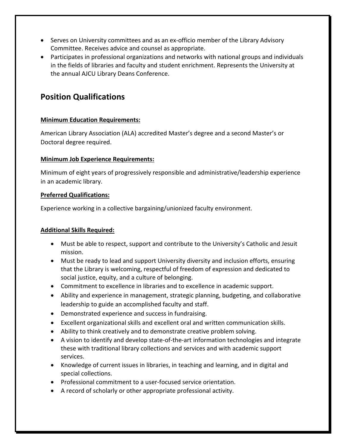- Serves on University committees and as an ex-officio member of the Library Advisory Committee. Receives advice and counsel as appropriate.
- Participates in professional organizations and networks with national groups and individuals in the fields of libraries and faculty and student enrichment. Represents the University at the annual AJCU Library Deans Conference.

## **Position Qualifications**

#### **Minimum Education Requirements:**

American Library Association (ALA) accredited Master's degree and a second Master's or Doctoral degree required.

#### **Minimum Job Experience Requirements:**

Minimum of eight years of progressively responsible and administrative/leadership experience in an academic library.

#### **Preferred Qualifications:**

Experience working in a collective bargaining/unionized faculty environment.

#### **Additional Skills Required:**

- Must be able to respect, support and contribute to the University's Catholic and Jesuit mission.
- Must be ready to lead and support University diversity and inclusion efforts, ensuring that the Library is welcoming, respectful of freedom of expression and dedicated to social justice, equity, and a culture of belonging.
- Commitment to excellence in libraries and to excellence in academic support.
- Ability and experience in management, strategic planning, budgeting, and collaborative leadership to guide an accomplished faculty and staff.
- Demonstrated experience and success in fundraising.
- Excellent organizational skills and excellent oral and written communication skills.
- Ability to think creatively and to demonstrate creative problem solving.
- A vision to identify and develop state-of-the-art information technologies and integrate these with traditional library collections and services and with academic support services.
- Knowledge of current issues in libraries, in teaching and learning, and in digital and special collections.
- Professional commitment to a user-focused service orientation.
- A record of scholarly or other appropriate professional activity.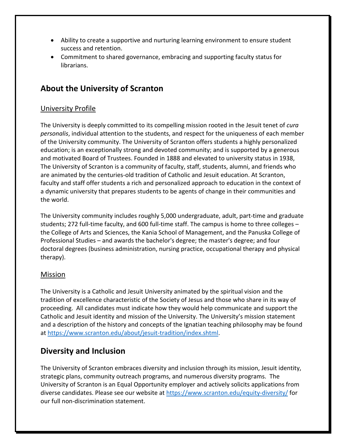- Ability to create a supportive and nurturing learning environment to ensure student success and retention.
- Commitment to shared governance, embracing and supporting faculty status for librarians.

## **About the University of Scranton**

#### University Profile

The University is deeply committed to its compelling mission rooted in the Jesuit tenet of *cura personalis*, individual attention to the students, and respect for the uniqueness of each member of the University community. The University of Scranton offers students a highly personalized education; is an exceptionally strong and devoted community; and is supported by a generous and motivated Board of Trustees. Founded in 1888 and elevated to university status in 1938, The University of Scranton is a community of faculty, staff, students, alumni, and friends who are animated by the centuries-old tradition of Catholic and Jesuit education. At Scranton, faculty and staff offer students a rich and personalized approach to education in the context of a dynamic university that prepares students to be agents of change in their communities and the world.

The University community includes roughly 5,000 undergraduate, adult, part-time and graduate students; 272 full-time faculty, and 600 full-time staff. The campus is home to three colleges – the College of Arts and Sciences, the Kania School of Management, and the Panuska College of Professional Studies – and awards the bachelor's degree; the master's degree; and four doctoral degrees (business administration, nursing practice, occupational therapy and physical therapy).

#### **Mission**

The University is a Catholic and Jesuit University animated by the spiritual vision and the tradition of excellence characteristic of the Society of Jesus and those who share in its way of proceeding.  All candidates must indicate how they would help communicate and support the Catholic and Jesuit identity and mission of the University. The University's mission statement and a description of the history and concepts of the Ignatian teaching philosophy may be found at [https://www.scranton.edu/about/jesuit-tradition/index.shtml.](https://www.scranton.edu/about/jesuit-tradition/index.shtml)

## **Diversity and Inclusion**

The University of Scranton embraces diversity and inclusion through its mission, Jesuit identity, strategic plans, community outreach programs, and numerous diversity programs. The University of Scranton is an Equal Opportunity employer and actively solicits applications from diverse candidates. Please see our website at <https://www.scranton.edu/equity-diversity/> for our full non-discrimination statement.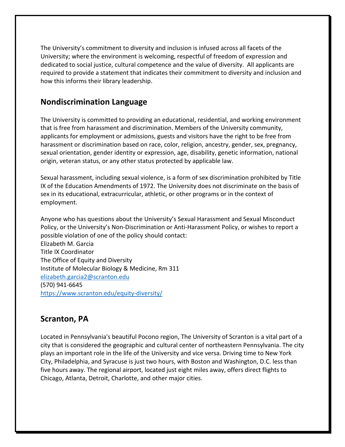The University's commitment to diversity and inclusion is infused across all facets of the University; where the environment is welcoming, respectful of freedom of expression and dedicated to social justice, cultural competence and the value of diversity. All applicants are required to provide a statement that indicates their commitment to diversity and inclusion and how this informs their library leadership.

### **Nondiscrimination Language**

The University is committed to providing an educational, residential, and working environment that is free from harassment and discrimination. Members of the University community, applicants for employment or admissions, guests and visitors have the right to be free from harassment or discrimination based on race, color, religion, ancestry, gender, sex, pregnancy, sexual orientation, gender identity or expression, age, disability, genetic information, national origin, veteran status, or any other status protected by applicable law.

Sexual harassment, including sexual violence, is a form of sex discrimination prohibited by Title IX of the Education Amendments of 1972. The University does not discriminate on the basis of sex in its educational, extracurricular, athletic, or other programs or in the context of employment.

Anyone who has questions about the University's Sexual Harassment and Sexual Misconduct Policy, or the University's Non-Discrimination or Anti-Harassment Policy, or wishes to report a possible violation of one of the policy should contact: Elizabeth M. Garcia Title IX Coordinator The Office of Equity and Diversity Institute of Molecular Biology & Medicine, Rm 311 [elizabeth.garcia2@scranton.edu](mailto:%20elizabeth.garcia2@scranton.edu)

(570) 941-6645

<https://www.scranton.edu/equity-diversity/>

## **Scranton, PA**

Located in Pennsylvania's beautiful Pocono region, The University of Scranton is a vital part of a city that is considered the geographic and cultural center of northeastern Pennsylvania. The city plays an important role in the life of the University and vice versa. Driving time to New York City, Philadelphia, and Syracuse is just two hours, with Boston and Washington, D.C. less than five hours away. The regional airport, located just eight miles away, offers direct flights to Chicago, Atlanta, Detroit, Charlotte, and other major cities.